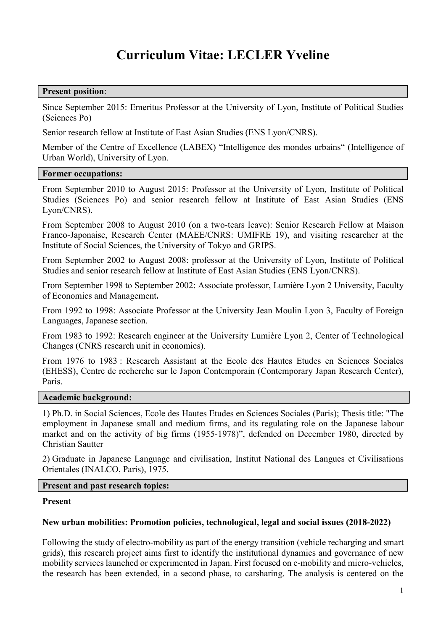# Curriculum Vitae: LECLER Yveline

#### Present position:

Since September 2015: Emeritus Professor at the University of Lyon, Institute of Political Studies (Sciences Po)

Senior research fellow at Institute of East Asian Studies (ENS Lyon/CNRS).

Member of the Centre of Excellence (LABEX) "Intelligence des mondes urbains" (Intelligence of Urban World), University of Lyon.

#### Former occupations:

From September 2010 to August 2015: Professor at the University of Lyon, Institute of Political Studies (Sciences Po) and senior research fellow at Institute of East Asian Studies (ENS Lyon/CNRS).

From September 2008 to August 2010 (on a two-tears leave): Senior Research Fellow at Maison Franco-Japonaise, Research Center (MAEE/CNRS: UMIFRE 19), and visiting researcher at the Institute of Social Sciences, the University of Tokyo and GRIPS.

From September 2002 to August 2008: professor at the University of Lyon, Institute of Political Studies and senior research fellow at Institute of East Asian Studies (ENS Lyon/CNRS).

From September 1998 to September 2002: Associate professor, Lumière Lyon 2 University, Faculty of Economics and Management.

From 1992 to 1998: Associate Professor at the University Jean Moulin Lyon 3, Faculty of Foreign Languages, Japanese section.

From 1983 to 1992: Research engineer at the University Lumière Lyon 2, Center of Technological Changes (CNRS research unit in economics).

From 1976 to 1983 : Research Assistant at the Ecole des Hautes Etudes en Sciences Sociales (EHESS), Centre de recherche sur le Japon Contemporain (Contemporary Japan Research Center), Paris.

#### Academic background:

1) Ph.D. in Social Sciences, Ecole des Hautes Etudes en Sciences Sociales (Paris); Thesis title: "The employment in Japanese small and medium firms, and its regulating role on the Japanese labour market and on the activity of big firms (1955-1978)", defended on December 1980, directed by Christian Sautter

2) Graduate in Japanese Language and civilisation, Institut National des Langues et Civilisations Orientales (INALCO, Paris), 1975.

## Present and past research topics:

## Present

## New urban mobilities: Promotion policies, technological, legal and social issues (2018-2022)

Following the study of electro-mobility as part of the energy transition (vehicle recharging and smart grids), this research project aims first to identify the institutional dynamics and governance of new mobility services launched or experimented in Japan. First focused on e-mobility and micro-vehicles, the research has been extended, in a second phase, to carsharing. The analysis is centered on the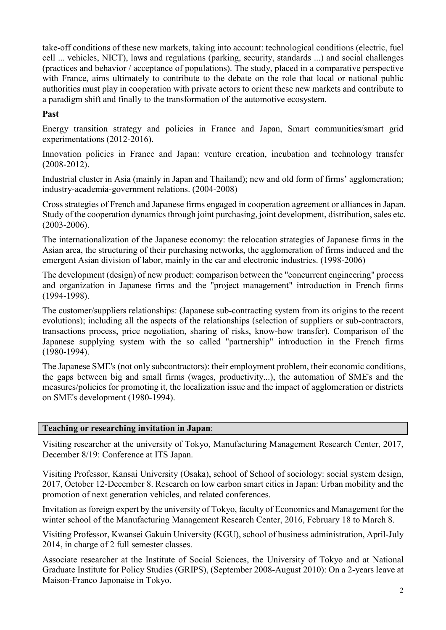take-off conditions of these new markets, taking into account: technological conditions (electric, fuel cell ... vehicles, NICT), laws and regulations (parking, security, standards ...) and social challenges (practices and behavior / acceptance of populations). The study, placed in a comparative perspective with France, aims ultimately to contribute to the debate on the role that local or national public authorities must play in cooperation with private actors to orient these new markets and contribute to a paradigm shift and finally to the transformation of the automotive ecosystem.

## Past

Energy transition strategy and policies in France and Japan, Smart communities/smart grid experimentations (2012-2016).

Innovation policies in France and Japan: venture creation, incubation and technology transfer (2008-2012).

Industrial cluster in Asia (mainly in Japan and Thailand); new and old form of firms' agglomeration; industry-academia-government relations. (2004-2008)

Cross strategies of French and Japanese firms engaged in cooperation agreement or alliances in Japan. Study of the cooperation dynamics through joint purchasing, joint development, distribution, sales etc. (2003-2006).

The internationalization of the Japanese economy: the relocation strategies of Japanese firms in the Asian area, the structuring of their purchasing networks, the agglomeration of firms induced and the emergent Asian division of labor, mainly in the car and electronic industries. (1998-2006)

The development (design) of new product: comparison between the "concurrent engineering" process and organization in Japanese firms and the "project management" introduction in French firms (1994-1998).

The customer/suppliers relationships: (Japanese sub-contracting system from its origins to the recent evolutions); including all the aspects of the relationships (selection of suppliers or sub-contractors, transactions process, price negotiation, sharing of risks, know-how transfer). Comparison of the Japanese supplying system with the so called "partnership" introduction in the French firms (1980-1994).

The Japanese SME's (not only subcontractors): their employment problem, their economic conditions, the gaps between big and small firms (wages, productivity...), the automation of SME's and the measures/policies for promoting it, the localization issue and the impact of agglomeration or districts on SME's development (1980-1994).

## Teaching or researching invitation in Japan:

Visiting researcher at the university of Tokyo, Manufacturing Management Research Center, 2017, December 8/19: Conference at ITS Japan.

Visiting Professor, Kansai University (Osaka), school of School of sociology: social system design, 2017, October 12-December 8. Research on low carbon smart cities in Japan: Urban mobility and the promotion of next generation vehicles, and related conferences.

Invitation as foreign expert by the university of Tokyo, faculty of Economics and Management for the winter school of the Manufacturing Management Research Center, 2016, February 18 to March 8.

Visiting Professor, Kwansei Gakuin University (KGU), school of business administration, April-July 2014, in charge of 2 full semester classes.

Associate researcher at the Institute of Social Sciences, the University of Tokyo and at National Graduate Institute for Policy Studies (GRIPS), (September 2008-August 2010): On a 2-years leave at Maison-Franco Japonaise in Tokyo.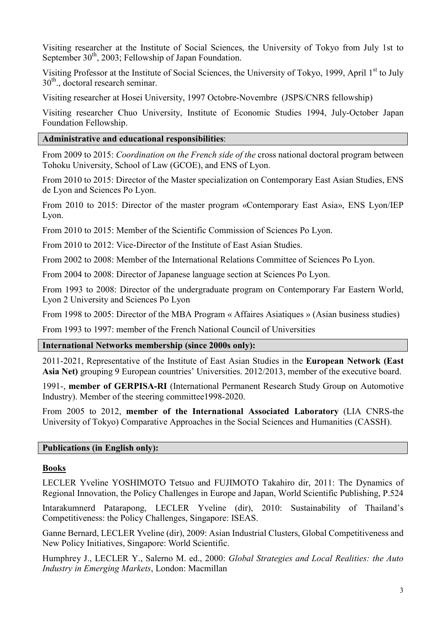Visiting researcher at the Institute of Social Sciences, the University of Tokyo from July 1st to September  $30<sup>th</sup>$ , 2003; Fellowship of Japan Foundation.

Visiting Professor at the Institute of Social Sciences, the University of Tokyo, 1999, April 1<sup>st</sup> to July  $30<sup>th</sup>$ , doctoral research seminar.

Visiting researcher at Hosei University, 1997 Octobre-Novembre (JSPS/CNRS fellowship)

Visiting researcher Chuo University, Institute of Economic Studies 1994, July-October Japan Foundation Fellowship.

## Administrative and educational responsibilities:

From 2009 to 2015: Coordination on the French side of the cross national doctoral program between Tohoku University, School of Law (GCOE), and ENS of Lyon.

From 2010 to 2015: Director of the Master specialization on Contemporary East Asian Studies, ENS de Lyon and Sciences Po Lyon.

From 2010 to 2015: Director of the master program «Contemporary East Asia», ENS Lyon/IEP Lyon.

From 2010 to 2015: Member of the Scientific Commission of Sciences Po Lyon.

From 2010 to 2012: Vice-Director of the Institute of East Asian Studies.

From 2002 to 2008: Member of the International Relations Committee of Sciences Po Lyon.

From 2004 to 2008: Director of Japanese language section at Sciences Po Lyon.

From 1993 to 2008: Director of the undergraduate program on Contemporary Far Eastern World, Lyon 2 University and Sciences Po Lyon

From 1998 to 2005: Director of the MBA Program « Affaires Asiatiques » (Asian business studies)

From 1993 to 1997: member of the French National Council of Universities

## International Networks membership (since 2000s only):

2011-2021, Representative of the Institute of East Asian Studies in the European Network (East Asia Net) grouping 9 European countries' Universities. 2012/2013, member of the executive board.

1991-, member of GERPISA-RI (International Permanent Research Study Group on Automotive Industry). Member of the steering committee1998-2020.

From 2005 to 2012, member of the International Associated Laboratory (LIA CNRS-the University of Tokyo) Comparative Approaches in the Social Sciences and Humanities (CASSH).

## Publications (in English only):

## **Books**

LECLER Yveline YOSHIMOTO Tetsuo and FUJIMOTO Takahiro dir, 2011: The Dynamics of Regional Innovation, the Policy Challenges in Europe and Japan, World Scientific Publishing, P.524

Intarakumnerd Patarapong, LECLER Yveline (dir), 2010: Sustainability of Thailand's Competitiveness: the Policy Challenges, Singapore: ISEAS.

Ganne Bernard, LECLER Yveline (dir), 2009: Asian Industrial Clusters, Global Competitiveness and New Policy Initiatives, Singapore: World Scientific.

Humphrey J., LECLER Y., Salerno M. ed., 2000: Global Strategies and Local Realities: the Auto Industry in Emerging Markets, London: Macmillan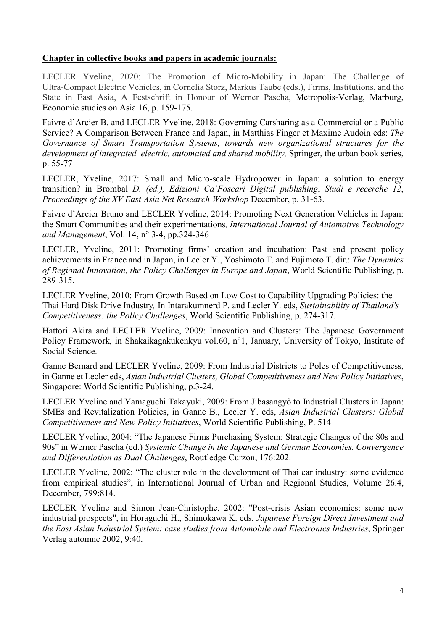## Chapter in collective books and papers in academic journals:

LECLER Yveline, 2020: The Promotion of Micro-Mobility in Japan: The Challenge of Ultra-Compact Electric Vehicles, in Cornelia Storz, Markus Taube (eds.), Firms, Institutions, and the State in East Asia, A Festschrift in Honour of Werner Pascha, Metropolis-Verlag, Marburg, Economic studies on Asia 16, p. 159-175.

Faivre d'Arcier B. and LECLER Yveline, 2018: Governing Carsharing as a Commercial or a Public Service? A Comparison Between France and Japan, in Matthias Finger et Maxime Audoin eds: The Governance of Smart Transportation Systems, towards new organizational structures for the development of integrated, electric, automated and shared mobility, Springer, the urban book series, p. 55-77

LECLER, Yveline, 2017: Small and Micro-scale Hydropower in Japan: a solution to energy transition? in Brombal D. (ed.), Edizioni Ca'Foscari Digital publishing, Studi e recerche 12, Proceedings of the XV East Asia Net Research Workshop December, p. 31-63.

Faivre d'Arcier Bruno and LECLER Yveline, 2014: Promoting Next Generation Vehicles in Japan: the Smart Communities and their experimentations, International Journal of Automotive Technology and Management, Vol. 14, n° 3-4, pp.324-346

LECLER, Yveline, 2011: Promoting firms' creation and incubation: Past and present policy achievements in France and in Japan, in Lecler Y., Yoshimoto T. and Fujimoto T. dir.: The Dynamics of Regional Innovation, the Policy Challenges in Europe and Japan, World Scientific Publishing, p. 289-315.

LECLER Yveline, 2010: From Growth Based on Low Cost to Capability Upgrading Policies: the Thai Hard Disk Drive Industry, In Intarakumnerd P. and Lecler Y. eds, Sustainability of Thailand's Competitiveness: the Policy Challenges, World Scientific Publishing, p. 274-317.

Hattori Akira and LECLER Yveline, 2009: Innovation and Clusters: The Japanese Government Policy Framework, in Shakaikagakukenkyu vol.60, n°1, January, University of Tokyo, Institute of Social Science.

Ganne Bernard and LECLER Yveline, 2009: From Industrial Districts to Poles of Competitiveness, in Ganne et Lecler eds, Asian Industrial Clusters, Global Competitiveness and New Policy Initiatives, Singapore: World Scientific Publishing, p.3-24.

LECLER Yveline and Yamaguchi Takayuki, 2009: From Jibasangyô to Industrial Clusters in Japan: SMEs and Revitalization Policies, in Ganne B., Lecler Y. eds, Asian Industrial Clusters: Global Competitiveness and New Policy Initiatives, World Scientific Publishing, P. 514

LECLER Yveline, 2004: "The Japanese Firms Purchasing System: Strategic Changes of the 80s and 90s" in Werner Pascha (ed.) Systemic Change in the Japanese and German Economies. Convergence and Differentiation as Dual Challenges, Routledge Curzon, 176:202.

LECLER Yveline, 2002: "The cluster role in the development of Thai car industry: some evidence from empirical studies", in International Journal of Urban and Regional Studies, Volume 26.4, December, 799:814.

LECLER Yveline and Simon Jean-Christophe, 2002: "Post-crisis Asian economies: some new industrial prospects", in Horaguchi H., Shimokawa K. eds, Japanese Foreign Direct Investment and the East Asian Industrial System: case studies from Automobile and Electronics Industries, Springer Verlag automne 2002, 9:40.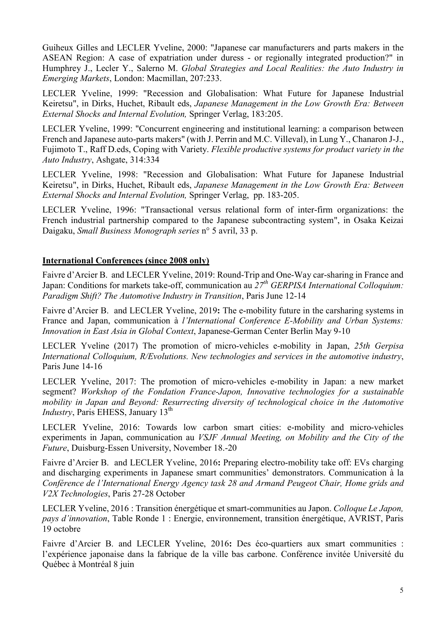Guiheux Gilles and LECLER Yveline, 2000: "Japanese car manufacturers and parts makers in the ASEAN Region: A case of expatriation under duress - or regionally integrated production?" in Humphrey J., Lecler Y., Salerno M. Global Strategies and Local Realities: the Auto Industry in Emerging Markets, London: Macmillan, 207:233.

LECLER Yveline, 1999: "Recession and Globalisation: What Future for Japanese Industrial Keiretsu", in Dirks, Huchet, Ribault eds, Japanese Management in the Low Growth Era: Between External Shocks and Internal Evolution, Springer Verlag, 183:205.

LECLER Yveline, 1999: "Concurrent engineering and institutional learning: a comparison between French and Japanese auto-parts makers" (with J. Perrin and M.C. Villeval), in Lung Y., Chanaron J-J., Fujimoto T., Raff D.eds, Coping with Variety. Flexible productive systems for product variety in the Auto Industry, Ashgate, 314:334

LECLER Yveline, 1998: "Recession and Globalisation: What Future for Japanese Industrial Keiretsu", in Dirks, Huchet, Ribault eds, Japanese Management in the Low Growth Era: Between External Shocks and Internal Evolution, Springer Verlag, pp. 183-205.

LECLER Yveline, 1996: "Transactional versus relational form of inter-firm organizations: the French industrial partnership compared to the Japanese subcontracting system", in Osaka Keizai Daigaku, Small Business Monograph series n° 5 avril, 33 p.

## International Conferences (since 2008 only)

Faivre d'Arcier B. and LECLER Yveline, 2019: Round-Trip and One-Way car-sharing in France and Japan: Conditions for markets take-off, communication au  $27<sup>th</sup> GERPISA International Colloquium$ : Paradigm Shift? The Automotive Industry in Transition, Paris June 12-14

Faivre d'Arcier B. and LECLER Yveline, 2019: The e-mobility future in the carsharing systems in France and Japan, communication à l'International Conference E-Mobility and Urban Systems: Innovation in East Asia in Global Context, Japanese-German Center Berlin May 9-10

LECLER Yveline (2017) The promotion of micro-vehicles e-mobility in Japan, 25th Gerpisa International Colloquium, R/Evolutions. New technologies and services in the automotive industry, Paris June 14-16

LECLER Yveline, 2017: The promotion of micro-vehicles e-mobility in Japan: a new market segment? Workshop of the Fondation France-Japon, Innovative technologies for a sustainable mobility in Japan and Beyond: Resurrecting diversity of technological choice in the Automotive *Industry*, Paris EHESS, January  $13<sup>th</sup>$ 

LECLER Yveline, 2016: Towards low carbon smart cities: e-mobility and micro-vehicles experiments in Japan, communication au VSJF Annual Meeting, on Mobility and the City of the Future, Duisburg-Essen University, November 18.-20

Faivre d'Arcier B. and LECLER Yveline, 2016: Preparing electro-mobility take off: EVs charging and discharging experiments in Japanese smart communities' demonstrators. Communication à la Conférence de l'International Energy Agency task 28 and Armand Peugeot Chair, Home grids and V2X Technologies, Paris 27-28 October

LECLER Yveline, 2016 : Transition énergétique et smart-communities au Japon. Colloque Le Japon, pays d'innovation, Table Ronde 1 : Energie, environnement, transition énergétique, AVRIST, Paris 19 octobre

Faivre d'Arcier B. and LECLER Yveline, 2016: Des éco-quartiers aux smart communities : l'expérience japonaise dans la fabrique de la ville bas carbone. Conférence invitée Université du Québec à Montréal 8 juin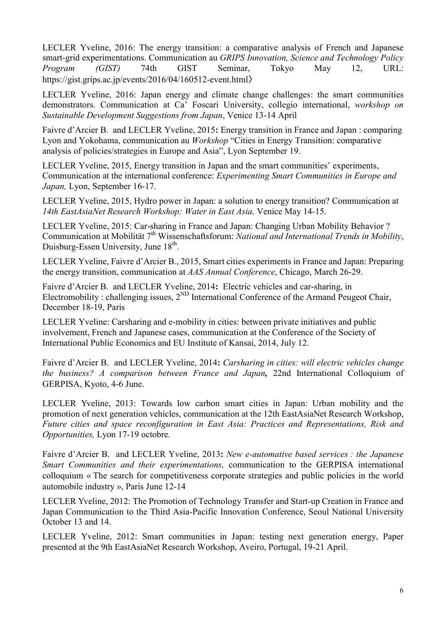LECLER Yveline, 2016: The energy transition: a comparative analysis of French and Japanese smart-grid experimentations. Communication au GRIPS Innovation, Science and Technology Policy Program (GIST) 74th GIST Seminar, Tokyo May 12, URL: https://gist.grips.ac.jp/events/2016/04/160512-event.html〉

LECLER Yveline, 2016: Japan energy and climate change challenges: the smart communities demonstrators. Communication at Ca' Foscari University, collegio international, workshop on Sustainable Development Suggestions from Japan, Venice 13-14 April

Faivre d'Arcier B. and LECLER Yveline, 2015: Energy transition in France and Japan : comparing Lyon and Yokohama, communication au Workshop "Cities in Energy Transition: comparative analysis of policies/strategies in Europe and Asia", Lyon September 19.

LECLER Yveline, 2015, Energy transition in Japan and the smart communities' experiments, Communication at the international conference: Experimenting Smart Communities in Europe and Japan, Lyon, September 16-17.

LECLER Yveline, 2015, Hydro power in Japan: a solution to energy transition? Communication at 14th EastAsiaNet Research Workshop: Water in East Asia, Venice May 14-15.

LECLER Yveline, 2015: Car-sharing in France and Japan: Changing Urban Mobility Behavior ? Communication at Mobilität  $7<sup>th</sup> W$ issenschaftsforum: National and International Trends in Mobility, Duisburg-Essen University, June 18<sup>th</sup>.

LECLER Yveline, Faivre d'Arcier B., 2015, Smart cities experiments in France and Japan: Preparing the energy transition, communication at AAS Annual Conference, Chicago, March 26-29.

Faivre d'Arcier B. and LECLER Yveline, 2014: Electric vehicles and car-sharing, in Electromobility : challenging issues,  $2^{ND}$  International Conference of the Armand Peugeot Chair, December 18-19, Paris

LECLER Yveline: Carsharing and e-mobility in cities: between private initiatives and public involvement, French and Japanese cases, communication at the Conference of the Society of International Public Economics and EU Institute of Kansai, 2014, July 12.

Faivre d'Arcier B. and LECLER Yveline, 2014: Carsharing in cities: will electric vehicles change the business? A comparison between France and Japan, 22nd International Colloquium of GERPISA, Kyoto, 4-6 June.

LECLER Yveline, 2013: Towards low carbon smart cities in Japan: Urban mobility and the promotion of next generation vehicles, communication at the 12th EastAsiaNet Research Workshop, Future cities and space reconfiguration in East Asia: Practices and Representations, Risk and Opportunities, Lyon 17-19 octobre.

Faivre d'Arcier B. and LECLER Yveline, 2013: New e-automative based services : the Japanese Smart Communities and their experimentations, communication to the GERPISA international colloquium « The search for competitiveness corporate strategies and public policies in the world automobile industry », Paris June 12-14

LECLER Yveline, 2012: The Promotion of Technology Transfer and Start-up Creation in France and Japan Communication to the Third Asia-Pacific Innovation Conference, Seoul National University October 13 and 14.

LECLER Yveline, 2012: Smart communities in Japan: testing next generation energy, Paper presented at the 9th EastAsiaNet Research Workshop, Aveiro, Portugal, 19-21 April.